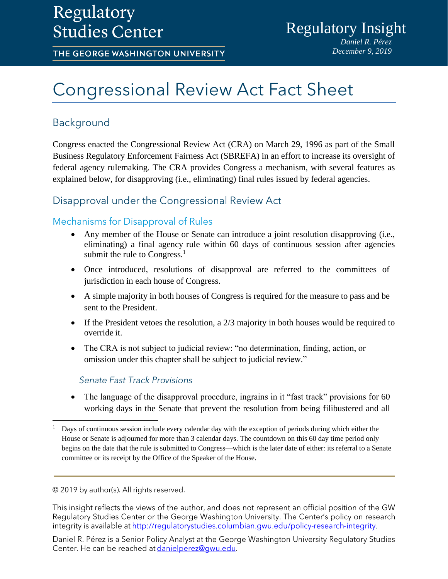## Regulatory **Studies Center**

THE GEORGE WASHINGTON UNIVERSITY

# **Congressional Review Act Fact Sheet**

## Background

Congress enacted the Congressional Review Act (CRA) on March 29, 1996 as part of the Small Business Regulatory Enforcement Fairness Act (SBREFA) in an effort to increase its oversight of federal agency rulemaking. The CRA provides Congress a mechanism, with several features as explained below, for disapproving (i.e., eliminating) final rules issued by federal agencies.

## Disapproval under the Congressional Review Act

## Mechanisms for Disapproval of Rules

- Any member of the House or Senate can introduce a joint resolution disapproving (i.e., eliminating) a final agency rule within 60 days of continuous session after agencies submit the rule to Congress. $<sup>1</sup>$ </sup>
- Once introduced, resolutions of disapproval are referred to the committees of jurisdiction in each house of Congress.
- A simple majority in both houses of Congress is required for the measure to pass and be sent to the President.
- If the President vetoes the resolution, a 2/3 majority in both houses would be required to override it.
- The CRA is not subject to judicial review: "no determination, finding, action, or omission under this chapter shall be subject to judicial review."

### **Senate Fast Track Provisions**

The language of the disapproval procedure, ingrains in it "fast track" provisions for 60 working days in the Senate that prevent the resolution from being filibustered and all

#### © 2019 by author(s). All rights reserved.

 $\overline{a}$ 

This insight reflects the views of the author, and does not represent an official position of the GW Regulatory Studies Center or the George Washington University. The Center's policy on research integrity is available at http://regulatorystudies.columbian.gwu.edu/policy-research-integrity.

Daniel R. Pérez is a Senior Policy Analyst at the George Washington University Regulatory Studies Center. He can be reached at danielperez@gwu.edu.

<sup>1</sup> Days of continuous session include every calendar day with the exception of periods during which either the House or Senate is adjourned for more than 3 calendar days. The countdown on this 60 day time period only begins on the date that the rule is submitted to Congress—which is the later date of either: its referral to a Senate committee or its receipt by the Office of the Speaker of the House.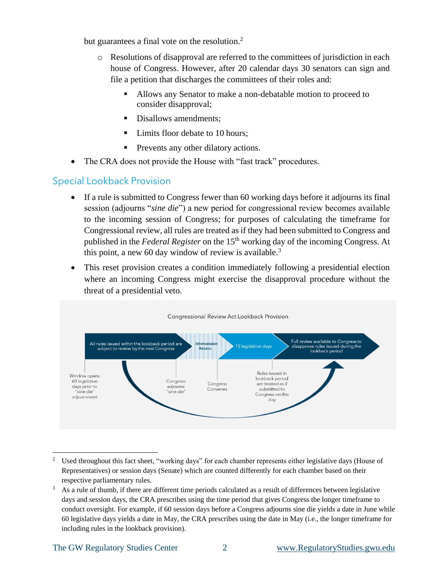but guarantees a final vote on the resolution.<sup>2</sup>

- o Resolutions of disapproval are referred to the committees of jurisdiction in each house of Congress. However, after 20 calendar days 30 senators can sign and file a petition that discharges the committees of their roles and:
	- Allows any Senator to make a non-debatable motion to proceed to consider disapproval;
	- Disallows amendments;
	- Limits floor debate to 10 hours:
	- Prevents any other dilatory actions.
- The CRA does not provide the House with "fast track" procedures.

## **Special Lookback Provision**

- If a rule is submitted to Congress fewer than 60 working days before it adjourns its final session (adjourns "*sine die*") a new period for congressional review becomes available to the incoming session of Congress; for purposes of calculating the timeframe for Congressional review, all rules are treated as if they had been submitted to Congress and published in the *Federal Register* on the 15<sup>th</sup> working day of the incoming Congress. At this point, a new 60 day window of review is available.<sup>3</sup>
- This reset provision creates a condition immediately following a presidential election where an incoming Congress might exercise the disapproval procedure without the threat of a presidential veto.



<sup>2</sup> Used throughout this fact sheet, "working days" for each chamber represents either legislative days (House of Representatives) or session days (Senate) which are counted differently for each chamber based on their respective parliamentary rules.

 $\overline{a}$ 

<sup>&</sup>lt;sup>3</sup> As a rule of thumb, if there are different time periods calculated as a result of differences between legislative days and session days, the CRA prescribes using the time period that gives Congress the longer timeframe to conduct oversight. For example, if 60 session days before a Congress adjourns sine die yields a date in June while 60 legislative days yields a date in May, the CRA prescribes using the date in May (i.e., the longer timeframe for including rules in the lookback provision).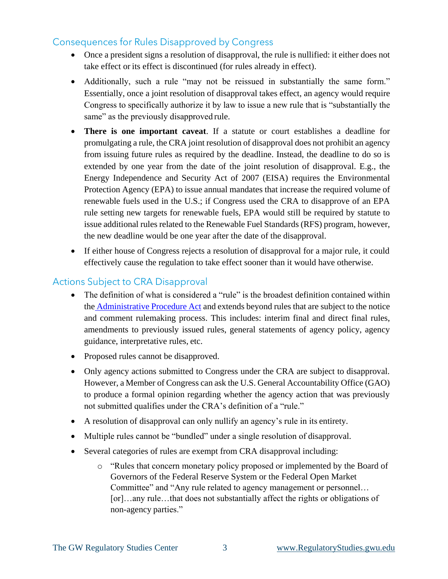## **Consequences for Rules Disapproved by Congress**

- Once a president signs a resolution of disapproval, the rule is nullified: it either does not take effect or its effect is discontinued (for rules already in effect).
- Additionally, such a rule "may not be reissued in substantially the same form." Essentially, once a joint resolution of disapproval takes effect, an agency would require Congress to specifically authorize it by law to issue a new rule that is "substantially the same" as the previously disapproved rule.
- **There is one important caveat**. If a statute or court establishes a deadline for promulgating a rule, the CRA joint resolution of disapproval does not prohibit an agency from issuing future rules as required by the deadline. Instead, the deadline to do so is extended by one year from the date of the joint resolution of disapproval. E.g., the Energy Independence and Security Act of 2007 (EISA) requires the Environmental Protection Agency (EPA) to issue annual mandates that increase the required volume of renewable fuels used in the U.S.; if Congress used the CRA to disapprove of an EPA rule setting new targets for renewable fuels, EPA would still be required by statute to issue additional rules related to the Renewable Fuel Standards (RFS) program, however, the new deadline would be one year after the date of the disapproval.
- If either house of Congress rejects a resolution of disapproval for a major rule, it could effectively cause the regulation to take effect sooner than it would have otherwise.

## **Actions Subject to CRA Disapproval**

- The definition of what is considered a "rule" is the broadest definition contained within the [Administrative Procedure Act](https://www.law.cornell.edu/uscode/text/5/551) and extends beyond rules that are subject to the notice and comment rulemaking process. This includes: interim final and direct final rules, amendments to previously issued rules, general statements of agency policy, agency guidance, interpretative rules, etc.
- Proposed rules cannot be disapproved.
- Only agency actions submitted to Congress under the CRA are subject to disapproval. However, a Member of Congress can ask the U.S. General Accountability Office (GAO) to produce a formal opinion regarding whether the agency action that was previously not submitted qualifies under the CRA's definition of a "rule."
- A resolution of disapproval can only nullify an agency's rule in its entirety.
- Multiple rules cannot be "bundled" under a single resolution of disapproval.
- Several categories of rules are exempt from CRA disapproval including:
	- o "Rules that concern monetary policy proposed or implemented by the Board of Governors of the Federal Reserve System or the Federal Open Market Committee" and "Any rule related to agency management or personnel… [or]…any rule…that does not substantially affect the rights or obligations of non-agency parties."